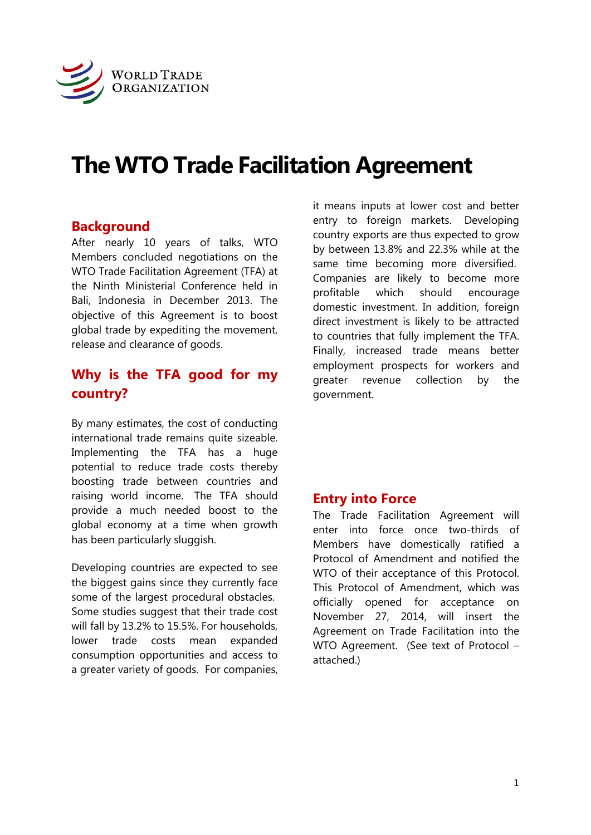

# **The WTO Trade Facilitation Agreement**

#### **Background**

After nearly 10 years of talks, WTO Members concluded negotiations on the WTO Trade Facilitation Agreement (TFA) at the Ninth Ministerial Conference held in Bali, Indonesia in December 2013. The objective of this Agreement is to boost global trade by expediting the movement, release and clearance of goods.

# **Why is the TFA good for my country?**

By many estimates, the cost of conducting international trade remains quite sizeable. Implementing the TFA has a huge potential to reduce trade costs thereby boosting trade between countries and raising world income. The TFA should provide a much needed boost to the global economy at a time when growth has been particularly sluggish.

Developing countries are expected to see the biggest gains since they currently face some of the largest procedural obstacles. Some studies suggest that their trade cost will fall by 13.2% to 15.5%. For households, lower trade costs mean expanded consumption opportunities and access to a greater variety of goods. For companies,

it means inputs at lower cost and better entry to foreign markets. Developing country exports are thus expected to grow by between 13.8% and 22.3% while at the same time becoming more diversified. Companies are likely to become more profitable which should encourage domestic investment. In addition, foreign direct investment is likely to be attracted to countries that fully implement the TFA. Finally, increased trade means better employment prospects for workers and greater revenue collection by the government.

#### **Entry into Force**

The Trade Facilitation Agreement will enter into force once two-thirds of Members have domestically ratified a Protocol of Amendment and notified the WTO of their acceptance of this Protocol. This Protocol of Amendment, which was officially opened for acceptance on November 27, 2014, will insert the Agreement on Trade Facilitation into the WTO Agreement. (See text of Protocol – attached.)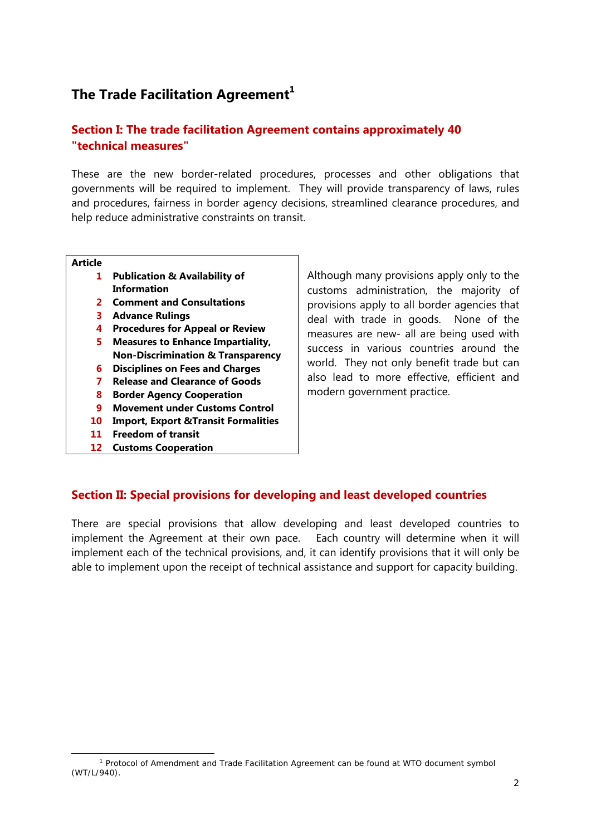# **The Trade Facilitation Agreement<sup>1</sup>**

#### **Section I: The trade facilitation Agreement contains approximately 40 "technical measures"**

These are the new border-related procedures, processes and other obligations that governments will be required to implement. They will provide transparency of laws, rules and procedures, fairness in border agency decisions, streamlined clearance procedures, and help reduce administrative constraints on transit.

#### **Article**

- **1 Publication & Availability of Information**
- **2 Comment and Consultations**
- **3 Advance Rulings**
- **4 Procedures for Appeal or Review**
- **5 Measures to Enhance Impartiality, Non-Discrimination & Transparency**
- **6 Disciplines on Fees and Charges**
- **7 Release and Clearance of Goods**
- **8 Border Agency Cooperation**
- **9 Movement under Customs Control**
- **10 Import, Export &Transit Formalities**
- **11 Freedom of transit**
- **12 Customs Cooperation**

Although many provisions apply only to the customs administration, the majority of provisions apply to all border agencies that deal with trade in goods. None of the measures are new- all are being used with success in various countries around the world. They not only benefit trade but can also lead to more effective, efficient and modern government practice.

#### **Section II: Special provisions for developing and least developed countries**

There are special provisions that allow developing and least developed countries to implement the Agreement at their own pace. Each country will determine when it will implement each of the technical provisions, and, it can identify provisions that it will only be able to implement upon the receipt of technical assistance and support for capacity building.

 $\overline{1}$ <sup>1</sup> Protocol of Amendment and Trade Facilitation Agreement can be found at WTO document symbol (WT/L/940).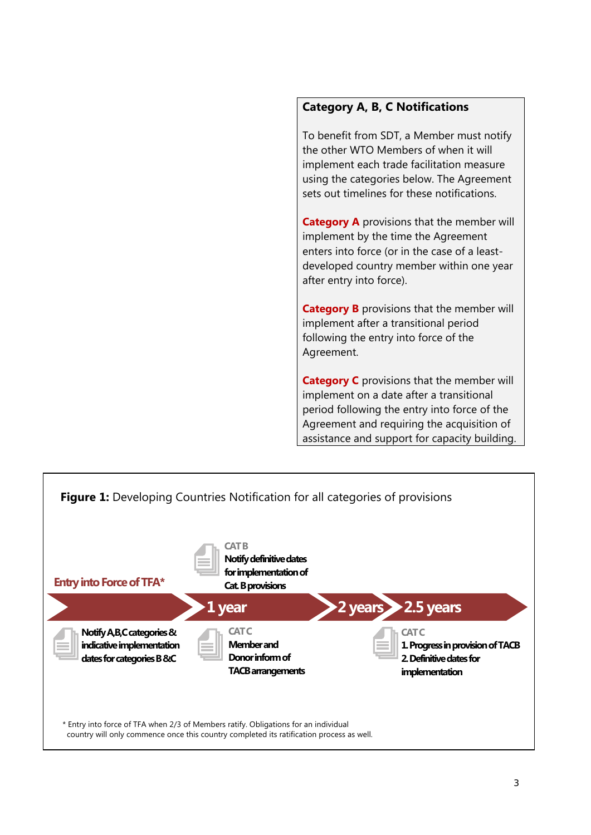#### **Category A, B, C Notifications**

To benefit from SDT, a Member must notify the other WTO Members of when it will implement each trade facilitation measure using the categories below. The Agreement sets out timelines for these notifications.

**Category A** provisions that the member will implement by the time the Agreement enters into force (or in the case of a leastdeveloped country member within one year after entry into force).

**Category B** provisions that the member will implement after a transitional period following the entry into force of the Agreement.

**Category C** provisions that the member will implement on a date after a transitional period following the entry into force of the Agreement and requiring the acquisition of assistance and support for capacity building.

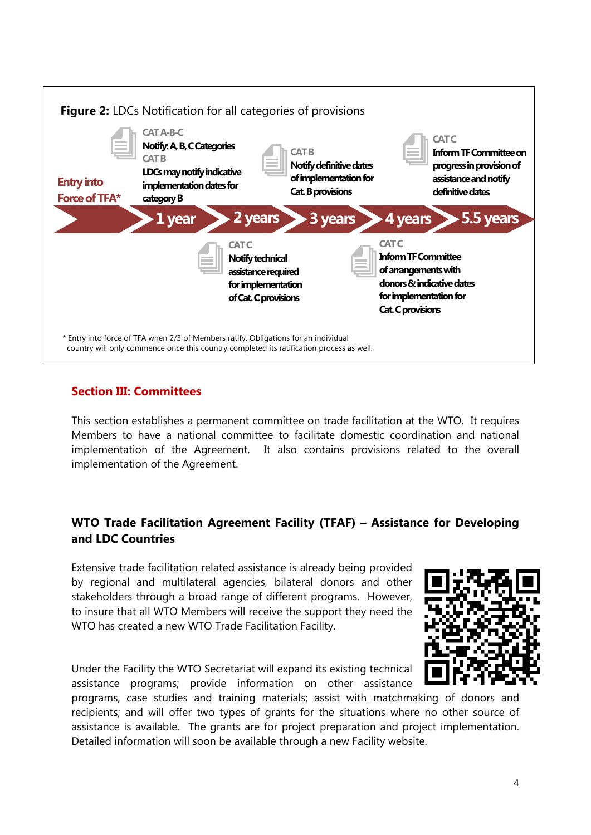

### **Section III: Committees**

This section establishes a permanent committee on trade facilitation at the WTO. It requires Members to have a national committee to facilitate domestic coordination and national implementation of the Agreement. It also contains provisions related to the overall implementation of the Agreement.

#### **WTO Trade Facilitation Agreement Facility (TFAF) – Assistance for Developing and LDC Countries**

Extensive trade facilitation related assistance is already being provided by regional and multilateral agencies, bilateral donors and other stakeholders through a broad range of different programs. However, to insure that all WTO Members will receive the support they need the WTO has created a new WTO Trade Facilitation Facility.



Under the Facility the WTO Secretariat will expand its existing technical assistance programs; provide information on other assistance

programs, case studies and training materials; assist with matchmaking of donors and recipients; and will offer two types of grants for the situations where no other source of assistance is available. The grants are for project preparation and project implementation. Detailed information will soon be available through a new Facility website.